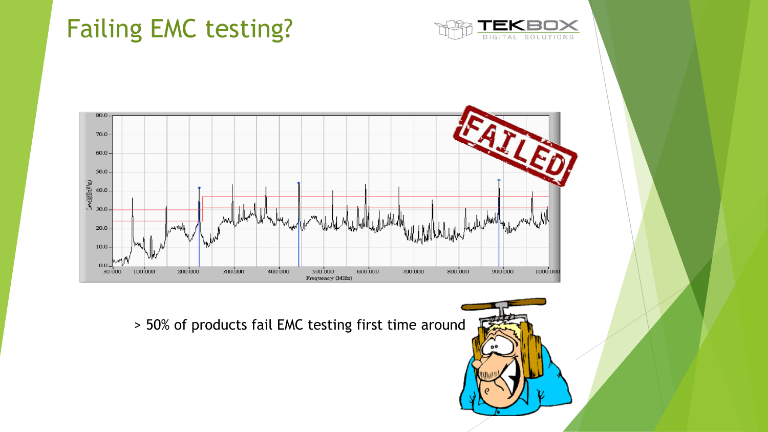# Failing EMC testing?





> 50% of products fail EMC testing first time around

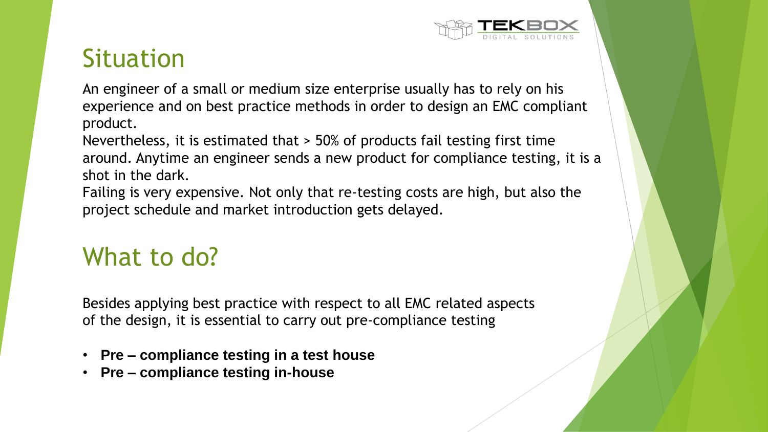

## Situation

An engineer of a small or medium size enterprise usually has to rely on his experience and on best practice methods in order to design an EMC compliant product.

Nevertheless, it is estimated that > 50% of products fail testing first time around. Anytime an engineer sends a new product for compliance testing, it is a shot in the dark.

Failing is very expensive. Not only that re-testing costs are high, but also the project schedule and market introduction gets delayed.

# What to do?

Besides applying best practice with respect to all EMC related aspects of the design, it is essential to carry out pre-compliance testing

- **Pre – compliance testing in a test house**
- **Pre – compliance testing in-house**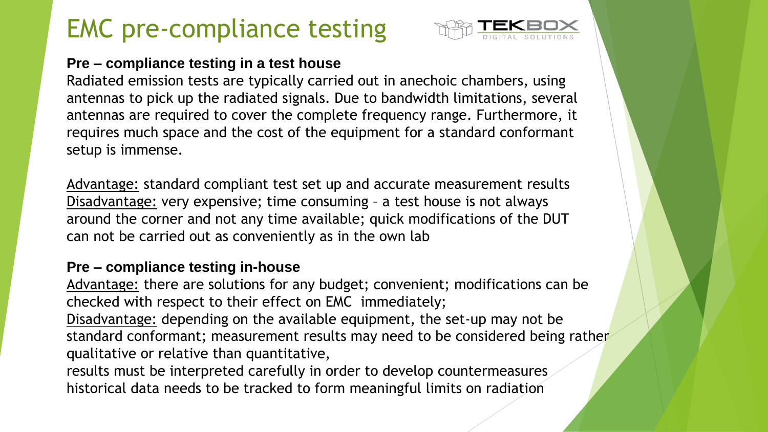# EMC pre-compliance testing



### **Pre – compliance testing in a test house**

Radiated emission tests are typically carried out in anechoic chambers, using antennas to pick up the radiated signals. Due to bandwidth limitations, several antennas are required to cover the complete frequency range. Furthermore, it requires much space and the cost of the equipment for a standard conformant setup is immense.

Advantage: standard compliant test set up and accurate measurement results Disadvantage: very expensive; time consuming – a test house is not always around the corner and not any time available; quick modifications of the DUT can not be carried out as conveniently as in the own lab

### **Pre – compliance testing in-house**

Advantage: there are solutions for any budget; convenient; modifications can be checked with respect to their effect on EMC immediately;

Disadvantage: depending on the available equipment, the set-up may not be standard conformant; measurement results may need to be considered being rather qualitative or relative than quantitative,

results must be interpreted carefully in order to develop countermeasures historical data needs to be tracked to form meaningful limits on radiation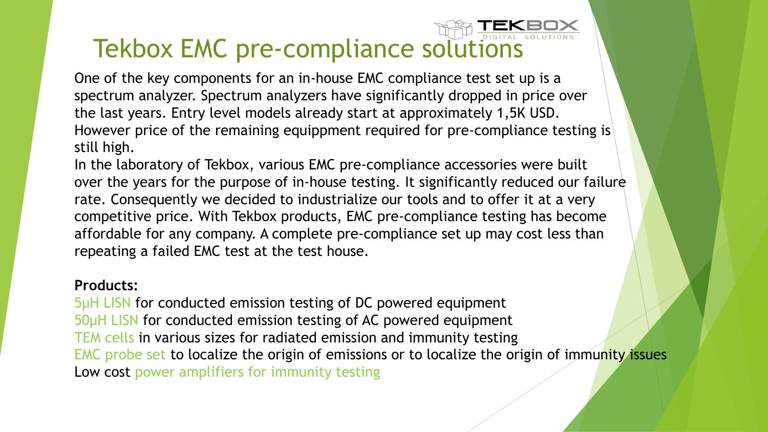## Tekbox EMC pre-compliance solutions

One of the key components for an in-house EMC compliance test set up is a spectrum analyzer. Spectrum analyzers have significantly dropped in price over the last years. Entry level models already start at approximately 1,5K USD. However price of the remaining equippment required for pre-compliance testing is still high.

In the laboratory of Tekbox, various EMC pre-compliance accessories were built over the years for the purpose of in-house testing. It significantly reduced our failure rate. Consequently we decided to industrialize our tools and to offer it at a very competitive price. With Tekbox products, EMC pre-compliance testing has become affordable for any company. A complete pre-compliance set up may cost less than repeating a failed EMC test at the test house.

#### **Products:**

5µH LISN for conducted emission testing of DC powered equipment 50µH LISN for conducted emission testing of AC powered equipment TEM cells in various sizes for radiated emission and immunity testing EMC probe set to localize the origin of emissions or to localize the origin of immunity issues Low cost power amplifiers for immunity testing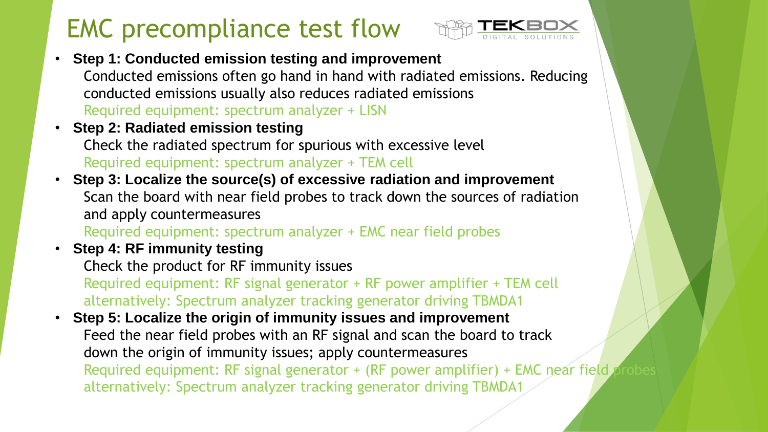# EMC precompliance test flow



- **Step 1: Conducted emission testing and improvement** Conducted emissions often go hand in hand with radiated emissions. Reducing conducted emissions usually also reduces radiated emissions Required equipment: spectrum analyzer + LISN
- **Step 2: Radiated emission testing** Check the radiated spectrum for spurious with excessive level Required equipment: spectrum analyzer + TEM cell
- **Step 3: Localize the source(s) of excessive radiation and improvement** Scan the board with near field probes to track down the sources of radiation and apply countermeasures Required equipment: spectrum analyzer + EMC near field probes
- **Step 4: RF immunity testing** Check the product for RF immunity issues Required equipment: RF signal generator + RF power amplifier + TEM cell alternatively: Spectrum analyzer tracking generator driving TBMDA1
- **Step 5: Localize the origin of immunity issues and improvement** Feed the near field probes with an RF signal and scan the board to track down the origin of immunity issues; apply countermeasures Required equipment: RF signal generator + (RF power amplifier) + EMC near field alternatively: Spectrum analyzer tracking generator driving TBMDA1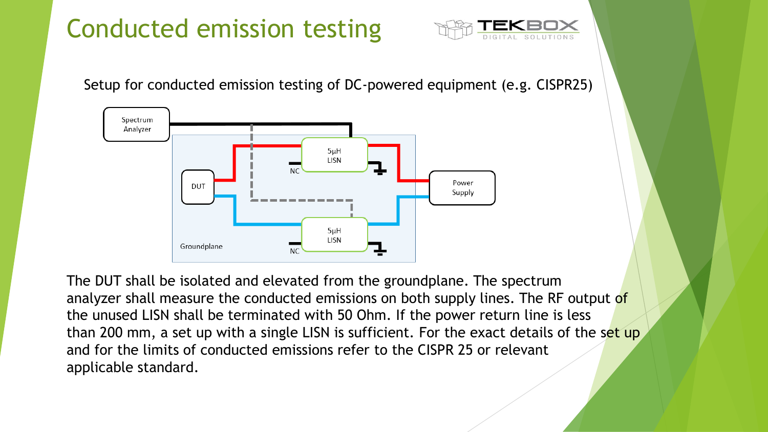# Conducted emission testing



Setup for conducted emission testing of DC-powered equipment (e.g. CISPR25)



The DUT shall be isolated and elevated from the groundplane. The spectrum analyzer shall measure the conducted emissions on both supply lines. The RF output of the unused LISN shall be terminated with 50 Ohm. If the power return line is less than 200 mm, a set up with a single LISN is sufficient. For the exact details of the set up and for the limits of conducted emissions refer to the CISPR 25 or relevant applicable standard.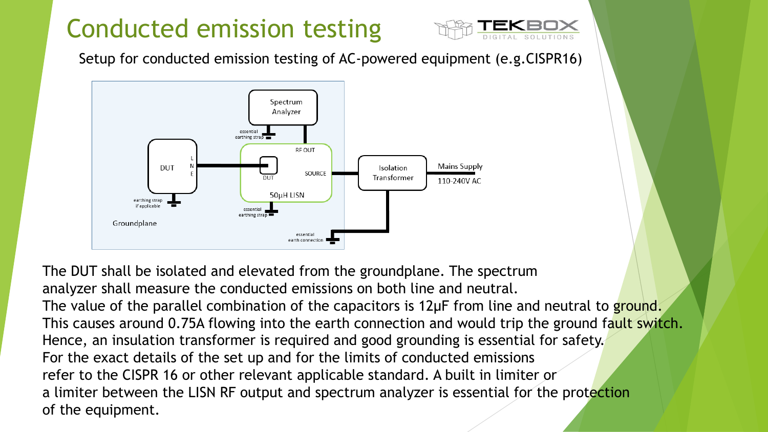# Conducted emission testing



Setup for conducted emission testing of AC-powered equipment (e.g.CISPR16)



The DUT shall be isolated and elevated from the groundplane. The spectrum analyzer shall measure the conducted emissions on both line and neutral. The value of the parallel combination of the capacitors is 12µF from line and neutral to ground. This causes around 0.75A flowing into the earth connection and would trip the ground fault switch. Hence, an insulation transformer is required and good grounding is essential for safety. For the exact details of the set up and for the limits of conducted emissions refer to the CISPR 16 or other relevant applicable standard. A built in limiter or a limiter between the LISN RF output and spectrum analyzer is essential for the protection of the equipment.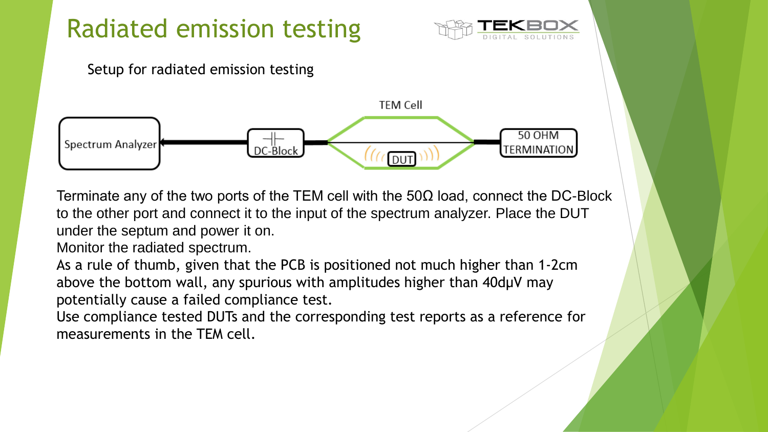

Terminate any of the two ports of the TEM cell with the 50 $\Omega$  load, connect the DC-Block to the other port and connect it to the input of the spectrum analyzer. Place the DUT under the septum and power it on.

Monitor the radiated spectrum.

As a rule of thumb, given that the PCB is positioned not much higher than 1-2cm above the bottom wall, any spurious with amplitudes higher than 40dµV may potentially cause a failed compliance test.

Use compliance tested DUTs and the corresponding test reports as a reference for measurements in the TEM cell.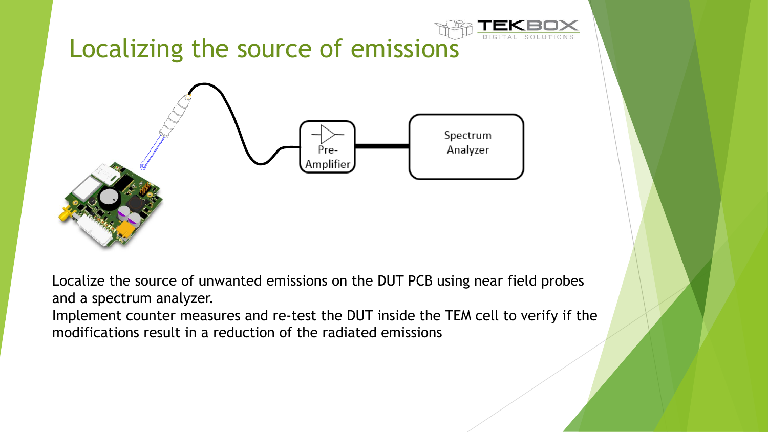

Localize the source of unwanted emissions on the DUT PCB using near field probes and a spectrum analyzer.

Implement counter measures and re-test the DUT inside the TEM cell to verify if the modifications result in a reduction of the radiated emissions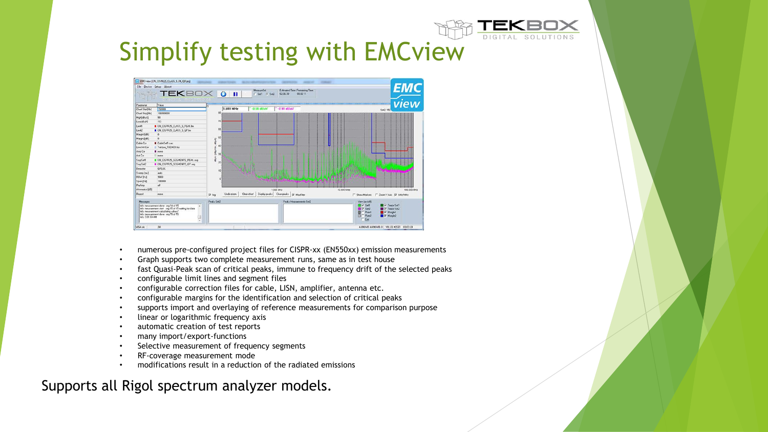

## Simplify testing with EMCview



- numerous pre-configured project files for CISPR-xx (EN550xx) emission measurements
- Graph supports two complete measurement runs, same as in test house
- fast Quasi-Peak scan of critical peaks, immune to frequency drift of the selected peaks
- configurable limit lines and segment files
- configurable correction files for cable, LISN, amplifier, antenna etc.
- configurable margins for the identification and selection of critical peaks
- supports import and overlaying of reference measurements for comparison purpose
- linear or logarithmic frequency axis
- automatic creation of test reports
- many import/export-functions
- Selective measurement of frequency segments
- RF-coverage measurement mode
- modifications result in a reduction of the radiated emissions

### Supports all Rigol spectrum analyzer models.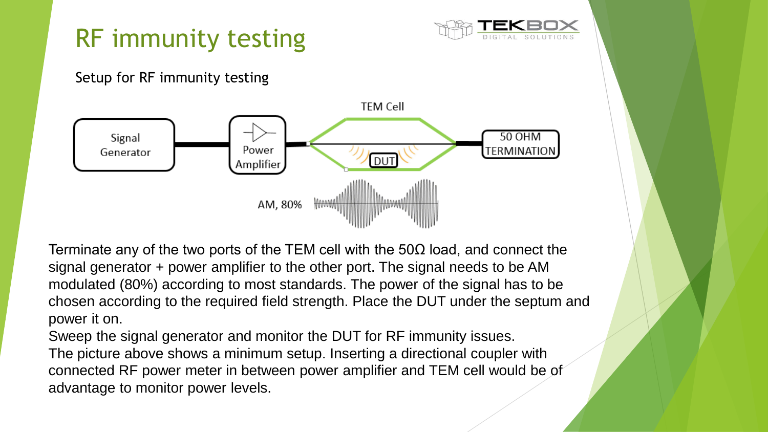

Terminate any of the two ports of the TEM cell with the 50 $\Omega$  load, and connect the signal generator + power amplifier to the other port. The signal needs to be AM modulated (80%) according to most standards. The power of the signal has to be chosen according to the required field strength. Place the DUT under the septum and power it on.

Sweep the signal generator and monitor the DUT for RF immunity issues. The picture above shows a minimum setup. Inserting a directional coupler with connected RF power meter in between power amplifier and TEM cell would be of advantage to monitor power levels.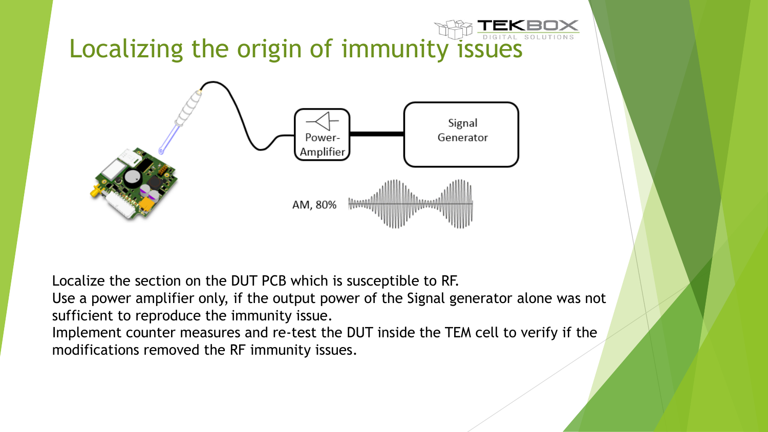

Localize the section on the DUT PCB which is susceptible to RF.

Use a power amplifier only, if the output power of the Signal generator alone was not sufficient to reproduce the immunity issue.

Implement counter measures and re-test the DUT inside the TEM cell to verify if the modifications removed the RF immunity issues.